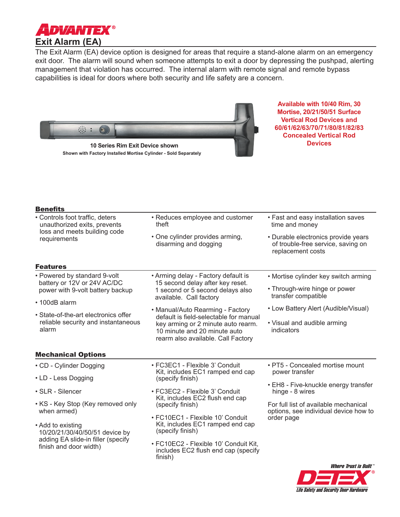

The Exit Alarm (EA) device option is designed for areas that require a stand-alone alarm on an emergency exit door. The alarm will sound when someone attempts to exit a door by depressing the pushpad, alerting management that violation has occurred. The internal alarm with remote signal and remote bypass capabilities is ideal for doors where both security and life safety are a concern.



**Available with 10/40 Rim, 30 Mortise, 20/21/50/51 Surface Vertical Rod Devices and 60/61/62/63/70/71/80/81/82/83 Concealed Vertical Rod Devices**

| Benefit: |  |  |  |
|----------|--|--|--|
|          |  |  |  |

| • Controls foot traffic, deters<br>unauthorized exits, prevents                                 | • Reduces employee and customer<br>theft                                                                                                           | • Fast and easy installation saves<br>time and money<br>• Durable electronics provide years<br>of trouble-free service, saving on<br>replacement costs |  |
|-------------------------------------------------------------------------------------------------|----------------------------------------------------------------------------------------------------------------------------------------------------|--------------------------------------------------------------------------------------------------------------------------------------------------------|--|
| loss and meets building code<br>requirements                                                    | • One cylinder provides arming,<br>disarming and dogging                                                                                           |                                                                                                                                                        |  |
| <b>Features</b>                                                                                 |                                                                                                                                                    |                                                                                                                                                        |  |
| • Powered by standard 9-volt<br>battery or 12V or 24V AC/DC<br>power with 9-volt battery backup | • Arming delay - Factory default is<br>15 second delay after key reset.<br>1 second or 5 second delays also                                        | • Mortise cylinder key switch arming<br>• Through-wire hinge or power                                                                                  |  |
|                                                                                                 | available. Call factory                                                                                                                            | transfer compatible                                                                                                                                    |  |
| • 100dB alarm                                                                                   | • Manual/Auto Rearming - Factory                                                                                                                   | • Low Battery Alert (Audible/Visual)<br>• Visual and audible arming<br>indicators                                                                      |  |
| • State-of-the-art electronics offer<br>reliable security and instantaneous<br>alarm            | default is field-selectable for manual<br>key arming or 2 minute auto rearm.<br>10 minute and 20 minute auto<br>rearm also available. Call Factory |                                                                                                                                                        |  |
| <b>Mechanical Options</b>                                                                       |                                                                                                                                                    |                                                                                                                                                        |  |
| • CD - Cylinder Dogging                                                                         | • FC3EC1 - Flexible 3' Conduit                                                                                                                     | • PT5 - Concealed mortise mount<br>power transfer<br>• EH8 - Five-knuckle energy transfer<br>hinge - 8 wires                                           |  |
| • LD - Less Dogging                                                                             | Kit, includes EC1 ramped end cap<br>(specify finish)                                                                                               |                                                                                                                                                        |  |
| • SLR - Silencer                                                                                | • FC3EC2 - Flexible 3' Conduit                                                                                                                     |                                                                                                                                                        |  |
| • KS - Key Stop (Key removed only<br>when armed)                                                | Kit, includes EC2 flush end cap<br>(specify finish)                                                                                                | For full list of available mechanical<br>options, see individual device how to                                                                         |  |
| • Add to existing<br>10/20/21/30/40/50/51 device by                                             | • FC10EC1 - Flexible 10' Conduit<br>Kit, includes EC1 ramped end cap<br>(specify finish)                                                           | order page                                                                                                                                             |  |
| adding EA slide-in filler (specify<br>finish and door width)                                    | • FC10EC2 - Flexible 10' Conduit Kit,<br>includes EC2 flush end cap (specify<br>finish)                                                            |                                                                                                                                                        |  |